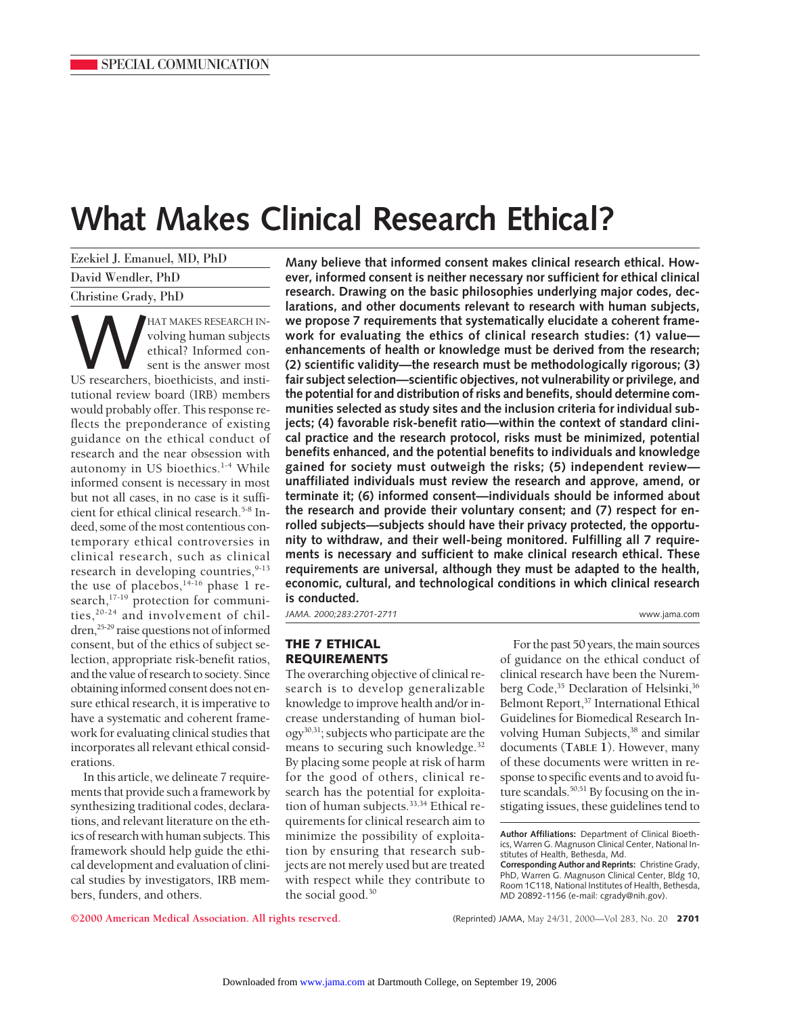# **What Makes Clinical Research Ethical?**

Ezekiel J. Emanuel, MD, PhD David Wendler, PhD

Christine Grady, PhD

WHAT MAKES RESEARCH INVOLVING human subjects<br>
ethical? Informed consent is the answer most<br>
US researchers, bioethicists, and instivolving human subjects ethical? Informed consent is the answer most tutional review board (IRB) members would probably offer. This response reflects the preponderance of existing guidance on the ethical conduct of research and the near obsession with autonomy in US bioethics.<sup>1-4</sup> While informed consent is necessary in most but not all cases, in no case is it sufficient for ethical clinical research.<sup>5-8</sup> Indeed, some of the most contentious contemporary ethical controversies in clinical research, such as clinical research in developing countries, $9-13$ the use of placebos, $14-16$  phase 1 research,<sup>17-19</sup> protection for communities,20-24 and involvement of children,<sup>25-29</sup> raise questions not of informed consent, but of the ethics of subject selection, appropriate risk-benefit ratios, and the value of research to society. Since obtaining informed consent does not ensure ethical research, it is imperative to have a systematic and coherent framework for evaluating clinical studies that incorporates all relevant ethical considerations.

In this article, we delineate 7 requirements that provide such a framework by synthesizing traditional codes, declarations, and relevant literature on the ethics of research with human subjects. This framework should help guide the ethical development and evaluation of clinical studies by investigators, IRB members, funders, and others.

**Many believe that informed consent makes clinical research ethical. However, informed consent is neither necessary nor sufficient for ethical clinical research. Drawing on the basic philosophies underlying major codes, declarations, and other documents relevant to research with human subjects, we propose 7 requirements that systematically elucidate a coherent framework for evaluating the ethics of clinical research studies: (1) value enhancements of health or knowledge must be derived from the research; (2) scientific validity—the research must be methodologically rigorous; (3) fair subject selection—scientific objectives, not vulnerability or privilege, and the potential for and distribution of risks and benefits, should determine communities selected as study sites and the inclusion criteria for individual subjects; (4) favorable risk-benefit ratio—within the context of standard clinical practice and the research protocol, risks must be minimized, potential benefits enhanced, and the potential benefits to individuals and knowledge gained for society must outweigh the risks; (5) independent review unaffiliated individuals must review the research and approve, amend, or terminate it; (6) informed consent—individuals should be informed about the research and provide their voluntary consent; and (7) respect for enrolled subjects—subjects should have their privacy protected, the opportunity to withdraw, and their well-being monitored. Fulfilling all 7 requirements is necessary and sufficient to make clinical research ethical. These requirements are universal, although they must be adapted to the health, economic, cultural, and technological conditions in which clinical research is conducted.**

*JAMA. 2000;283:2701-2711* www.jama.com

## **THE 7 ETHICAL REQUIREMENTS**

The overarching objective of clinical research is to develop generalizable knowledge to improve health and/or increase understanding of human biology30,31; subjects who participate are the means to securing such knowledge.<sup>32</sup> By placing some people at risk of harm for the good of others, clinical research has the potential for exploitation of human subjects.<sup>33,34</sup> Ethical requirements for clinical research aim to minimize the possibility of exploitation by ensuring that research subjects are not merely used but are treated with respect while they contribute to the social good.30

For the past 50 years, the main sources of guidance on the ethical conduct of clinical research have been the Nuremberg Code,<sup>35</sup> Declaration of Helsinki,<sup>36</sup> Belmont Report,<sup>37</sup> International Ethical Guidelines for Biomedical Research Involving Human Subjects,<sup>38</sup> and similar documents (**TABLE 1**). However, many of these documents were written in response to specific events and to avoid future scandals.<sup>50,51</sup> By focusing on the instigating issues, these guidelines tend to

**Author Affiliations:** Department of Clinical Bioethics, Warren G. Magnuson Clinical Center, National Institutes of Health, Bethesda, Md.

**Corresponding Author and Reprints:** Christine Grady, PhD, Warren G. Magnuson Clinical Center, Bldg 10, Room 1C118, National Institutes of Health, Bethesda, MD 20892-1156 (e-mail: cgrady@nih.gov).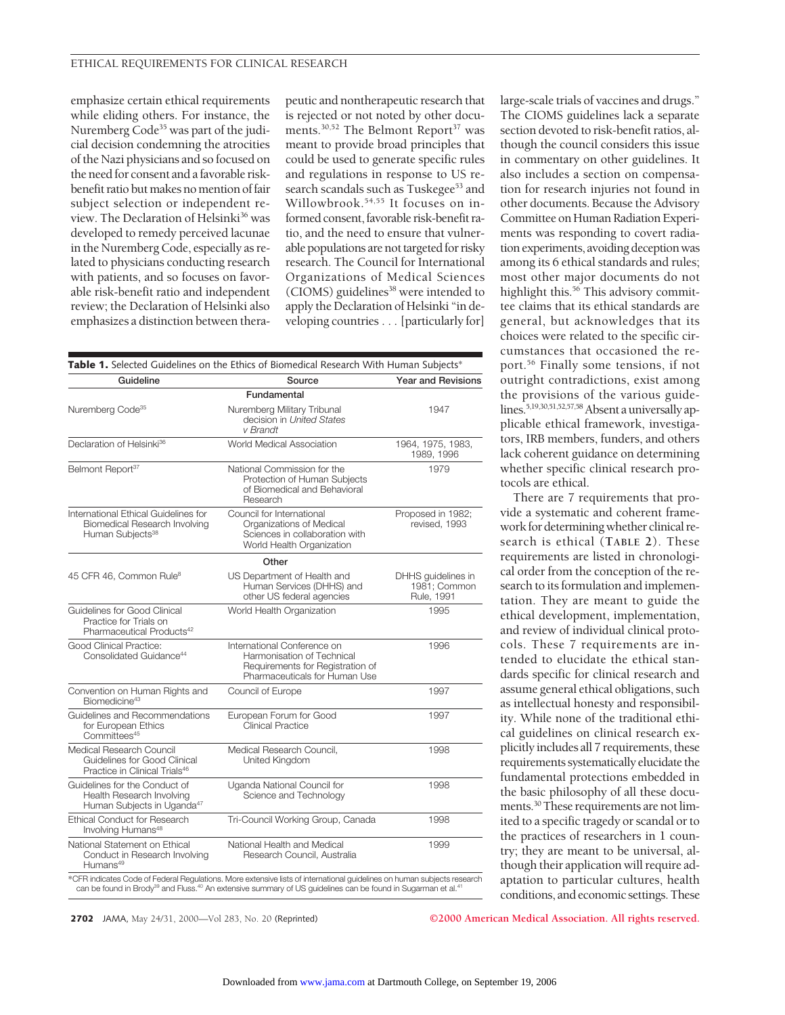emphasize certain ethical requirements while eliding others. For instance, the Nuremberg Code<sup>35</sup> was part of the judicial decision condemning the atrocities of the Nazi physicians and so focused on the need for consent and a favorable riskbenefit ratio but makes no mention of fair subject selection or independent review. The Declaration of Helsinki<sup>36</sup> was developed to remedy perceived lacunae in the Nuremberg Code, especially as related to physicians conducting research with patients, and so focuses on favorable risk-benefit ratio and independent review; the Declaration of Helsinki also emphasizes a distinction between therapeutic and nontherapeutic research that is rejected or not noted by other documents.<sup>30,52</sup> The Belmont Report<sup>37</sup> was meant to provide broad principles that could be used to generate specific rules and regulations in response to US research scandals such as Tuskegee<sup>53</sup> and Willowbrook.54,55 It focuses on informed consent, favorable risk-benefit ratio, and the need to ensure that vulnerable populations are not targeted for risky research. The Council for International Organizations of Medical Sciences (CIOMS) guidelines<sup>38</sup> were intended to apply the Declaration of Helsinki "in developing countries... [particularly for]

| Guideline                                                                                             | Source                                                                                                                         | <b>Year and Revisions</b>                        |
|-------------------------------------------------------------------------------------------------------|--------------------------------------------------------------------------------------------------------------------------------|--------------------------------------------------|
|                                                                                                       | Fundamental                                                                                                                    |                                                  |
| Nuremberg Code <sup>35</sup>                                                                          | Nuremberg Military Tribunal<br>decision in United States<br>v Brandt                                                           | 1947                                             |
| Declaration of Helsinki <sup>36</sup>                                                                 | World Medical Association                                                                                                      | 1964, 1975, 1983,<br>1989, 1996                  |
| Belmont Report <sup>37</sup>                                                                          | National Commission for the<br>Protection of Human Subjects<br>of Biomedical and Behavioral<br>Research                        | 1979                                             |
| International Ethical Guidelines for<br>Biomedical Research Involving<br>Human Subjects <sup>38</sup> | Council for International<br>Organizations of Medical<br>Sciences in collaboration with<br>World Health Organization           | Proposed in 1982;<br>revised, 1993               |
|                                                                                                       | Other                                                                                                                          |                                                  |
| 45 CFR 46, Common Rule <sup>8</sup>                                                                   | US Department of Health and<br>Human Services (DHHS) and<br>other US federal agencies                                          | DHHS guidelines in<br>1981; Common<br>Rule, 1991 |
| Guidelines for Good Clinical<br>Practice for Trials on<br>Pharmaceutical Products <sup>42</sup>       | World Health Organization                                                                                                      | 1995                                             |
| Good Clinical Practice:<br>Consolidated Guidance <sup>44</sup>                                        | International Conference on<br>Harmonisation of Technical<br>Requirements for Registration of<br>Pharmaceuticals for Human Use | 1996                                             |
| Convention on Human Rights and<br>Biomedicine <sup>43</sup>                                           | Council of Europe                                                                                                              | 1997                                             |
| Guidelines and Recommendations<br>for European Ethics<br>Committees <sup>45</sup>                     | European Forum for Good<br><b>Clinical Practice</b>                                                                            | 1997                                             |
| Medical Research Council<br>Guidelines for Good Clinical<br>Practice in Clinical Trials <sup>46</sup> | Medical Research Council,<br>United Kingdom                                                                                    | 1998                                             |
| Guidelines for the Conduct of<br>Health Research Involving<br>Human Subjects in Uganda <sup>47</sup>  | Uganda National Council for<br>Science and Technology                                                                          | 1998                                             |
| <b>Ethical Conduct for Research</b><br>Involving Humans <sup>48</sup>                                 | Tri-Council Working Group, Canada                                                                                              | 1998                                             |
| National Statement on Ethical<br>Conduct in Research Involving<br>Humans <sup>49</sup>                | National Health and Medical<br>Research Council, Australia                                                                     | 1999                                             |

large-scale trials of vaccines and drugs." The CIOMS guidelines lack a separate section devoted to risk-benefit ratios, although the council considers this issue in commentary on other guidelines. It also includes a section on compensation for research injuries not found in other documents. Because the Advisory Committee on Human Radiation Experiments was responding to covert radiation experiments, avoiding deception was among its 6 ethical standards and rules; most other major documents do not highlight this.<sup>56</sup> This advisory committee claims that its ethical standards are general, but acknowledges that its choices were related to the specific circumstances that occasioned the report.56 Finally some tensions, if not outright contradictions, exist among the provisions of the various guidelines.5,19,30,51,52,57,58Absent a universally applicable ethical framework, investigators, IRB members, funders, and others lack coherent guidance on determining whether specific clinical research protocols are ethical.

There are 7 requirements that provide a systematic and coherent framework for determining whether clinical research is ethical (**TABLE 2**). These requirements are listed in chronological order from the conception of the research to its formulation and implementation. They are meant to guide the ethical development, implementation, and review of individual clinical protocols. These 7 requirements are intended to elucidate the ethical standards specific for clinical research and assume general ethical obligations, such as intellectual honesty and responsibility. While none of the traditional ethical guidelines on clinical research explicitly includes all 7 requirements, these requirements systematically elucidate the fundamental protections embedded in the basic philosophy of all these documents.<sup>30</sup> These requirements are not limited to a specific tragedy or scandal or to the practices of researchers in 1 country; they are meant to be universal, although their application will require adaptation to particular cultures, health conditions, and economic settings. These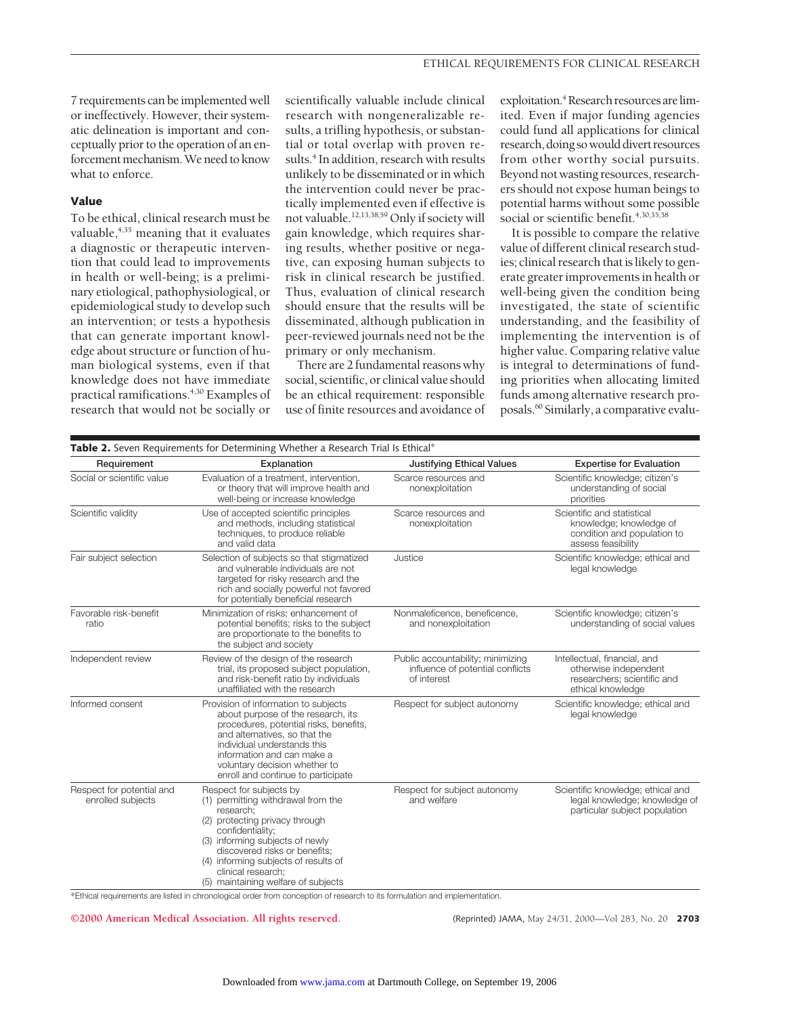7 requirements can be implemented well or ineffectively. However, their systematic delineation is important and conceptually prior to the operation of an enforcement mechanism. We need to know what to enforce.

#### **Value**

To be ethical, clinical research must be valuable,<sup>4,35</sup> meaning that it evaluates a diagnostic or therapeutic intervention that could lead to improvements in health or well-being; is a preliminary etiological, pathophysiological, or epidemiological study to develop such an intervention; or tests a hypothesis that can generate important knowledge about structure or function of human biological systems, even if that knowledge does not have immediate practical ramifications.4,30 Examples of research that would not be socially or

scientifically valuable include clinical research with nongeneralizable results, a trifling hypothesis, or substantial or total overlap with proven results.<sup>4</sup> In addition, research with results unlikely to be disseminated or in which the intervention could never be practically implemented even if effective is not valuable.12,13,38,59 Only if society will gain knowledge, which requires sharing results, whether positive or negative, can exposing human subjects to risk in clinical research be justified. Thus, evaluation of clinical research should ensure that the results will be disseminated, although publication in peer-reviewed journals need not be the primary or only mechanism.

There are 2 fundamental reasons why social, scientific, or clinical value should be an ethical requirement: responsible use of finite resources and avoidance of exploitation.<sup>4</sup> Research resources are limited. Even if major funding agencies could fund all applications for clinical research, doing so would divert resources from other worthy social pursuits. Beyond not wasting resources, researchers should not expose human beings to potential harms without some possible social or scientific benefit.<sup>4,30,35,38</sup>

It is possible to compare the relative value of different clinical research studies; clinical research that is likely to generate greater improvements in health or well-being given the condition being investigated, the state of scientific understanding, and the feasibility of implementing the intervention is of higher value. Comparing relative value is integral to determinations of funding priorities when allocating limited funds among alternative research proposals.<sup>60</sup> Similarly, a comparative evalu-

| <b>Table 2.</b> Seven Requirements for Determining Whether a Research Trial Is Ethical* |                                                                                                                                                                                                                                                                                                           |                                                                                      |                                                                                                            |  |
|-----------------------------------------------------------------------------------------|-----------------------------------------------------------------------------------------------------------------------------------------------------------------------------------------------------------------------------------------------------------------------------------------------------------|--------------------------------------------------------------------------------------|------------------------------------------------------------------------------------------------------------|--|
| Requirement                                                                             | Explanation                                                                                                                                                                                                                                                                                               | <b>Justifying Ethical Values</b>                                                     | <b>Expertise for Evaluation</b>                                                                            |  |
| Social or scientific value                                                              | Evaluation of a treatment, intervention,<br>or theory that will improve health and<br>well-being or increase knowledge                                                                                                                                                                                    | Scarce resources and<br>nonexploitation                                              | Scientific knowledge; citizen's<br>understanding of social<br>priorities                                   |  |
| Scientific validity                                                                     | Use of accepted scientific principles<br>and methods, including statistical<br>techniques, to produce reliable<br>and valid data                                                                                                                                                                          | Scarce resources and<br>nonexploitation                                              | Scientific and statistical<br>knowledge; knowledge of<br>condition and population to<br>assess feasibility |  |
| Fair subject selection                                                                  | Selection of subjects so that stigmatized<br>and vulnerable individuals are not<br>targeted for risky research and the<br>rich and socially powerful not favored<br>for potentially beneficial research                                                                                                   | Justice                                                                              | Scientific knowledge; ethical and<br>legal knowledge                                                       |  |
| Favorable risk-benefit<br>ratio                                                         | Minimization of risks; enhancement of<br>potential benefits; risks to the subject<br>are proportionate to the benefits to<br>the subject and society                                                                                                                                                      | Nonmaleficence, beneficence,<br>and nonexploitation                                  | Scientific knowledge; citizen's<br>understanding of social values                                          |  |
| Independent review                                                                      | Review of the design of the research<br>trial, its proposed subject population,<br>and risk-benefit ratio by individuals<br>unaffiliated with the research                                                                                                                                                | Public accountability; minimizing<br>influence of potential conflicts<br>of interest | Intellectual, financial, and<br>otherwise independent<br>researchers: scientific and<br>ethical knowledge  |  |
| Informed consent                                                                        | Provision of information to subjects<br>about purpose of the research, its<br>procedures, potential risks, benefits,<br>and alternatives, so that the<br>individual understands this<br>information and can make a<br>voluntary decision whether to<br>enroll and continue to participate                 | Respect for subject autonomy                                                         | Scientific knowledge; ethical and<br>legal knowledge                                                       |  |
| Respect for potential and<br>enrolled subjects                                          | Respect for subjects by<br>(1) permitting withdrawal from the<br>research:<br>(2) protecting privacy through<br>confidentiality;<br>(3) informing subjects of newly<br>discovered risks or benefits;<br>(4) informing subjects of results of<br>clinical research;<br>(5) maintaining welfare of subjects | Respect for subject autonomy<br>and welfare                                          | Scientific knowledge; ethical and<br>legal knowledge; knowledge of<br>particular subject population        |  |

\*Ethical requirements are listed in chronological order from conception of research to its formulation and implementation.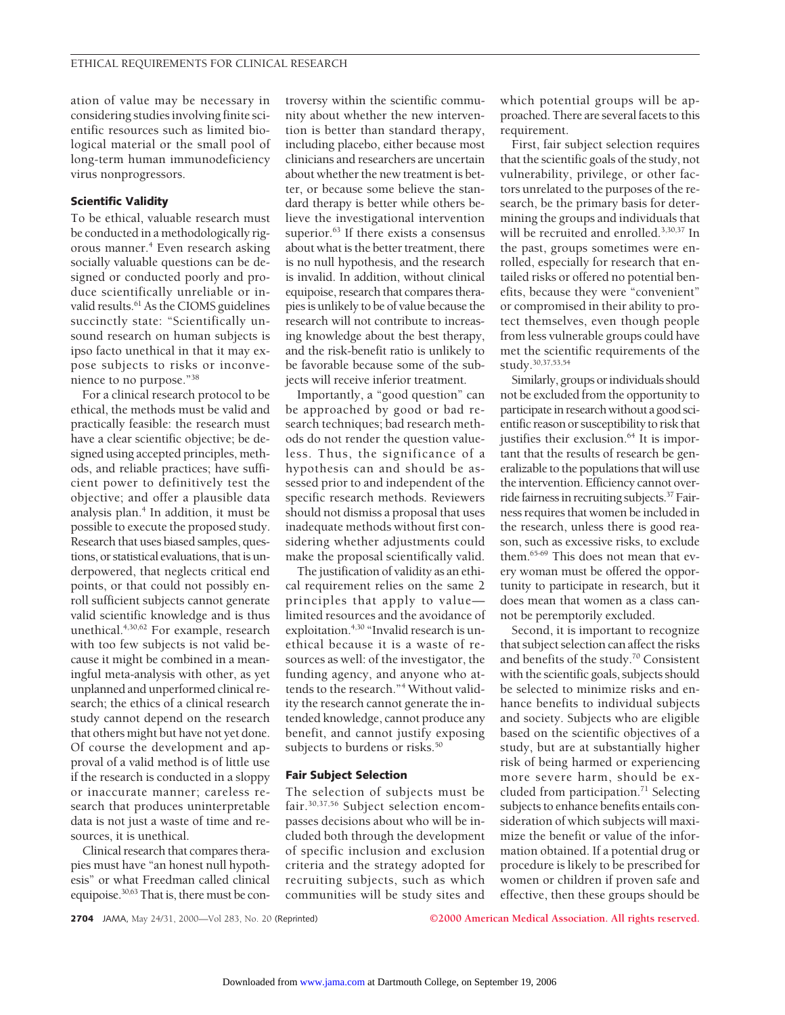ation of value may be necessary in considering studies involving finite scientific resources such as limited biological material or the small pool of long-term human immunodeficiency virus nonprogressors.

#### **Scientific Validity**

To be ethical, valuable research must be conducted in a methodologically rigorous manner.4 Even research asking socially valuable questions can be designed or conducted poorly and produce scientifically unreliable or invalid results.<sup>61</sup> As the CIOMS guidelines succinctly state: "Scientifically unsound research on human subjects is ipso facto unethical in that it may expose subjects to risks or inconvenience to no purpose."38

For a clinical research protocol to be ethical, the methods must be valid and practically feasible: the research must have a clear scientific objective; be designed using accepted principles, methods, and reliable practices; have sufficient power to definitively test the objective; and offer a plausible data analysis plan.4 In addition, it must be possible to execute the proposed study. Research that uses biased samples, questions, or statistical evaluations, that is underpowered, that neglects critical end points, or that could not possibly enroll sufficient subjects cannot generate valid scientific knowledge and is thus unethical.4,30,62 For example, research with too few subjects is not valid because it might be combined in a meaningful meta-analysis with other, as yet unplanned and unperformed clinical research; the ethics of a clinical research study cannot depend on the research that others might but have not yet done. Of course the development and approval of a valid method is of little use if the research is conducted in a sloppy or inaccurate manner; careless research that produces uninterpretable data is not just a waste of time and resources, it is unethical.

Clinical research that compares therapies must have "an honest null hypothesis" or what Freedman called clinical equipoise.<sup>30,63</sup> That is, there must be controversy within the scientific community about whether the new intervention is better than standard therapy, including placebo, either because most clinicians and researchers are uncertain about whether the new treatment is better, or because some believe the standard therapy is better while others believe the investigational intervention superior.<sup>63</sup> If there exists a consensus about what is the better treatment, there is no null hypothesis, and the research is invalid. In addition, without clinical equipoise, research that compares therapies is unlikely to be of value because the research will not contribute to increasing knowledge about the best therapy, and the risk-benefit ratio is unlikely to be favorable because some of the subjects will receive inferior treatment.

Importantly, a "good question" can be approached by good or bad research techniques; bad research methods do not render the question valueless. Thus, the significance of a hypothesis can and should be assessed prior to and independent of the specific research methods. Reviewers should not dismiss a proposal that uses inadequate methods without first considering whether adjustments could make the proposal scientifically valid.

The justification of validity as an ethical requirement relies on the same 2 principles that apply to value limited resources and the avoidance of exploitation.<sup>4,30</sup> "Invalid research is unethical because it is a waste of resources as well: of the investigator, the funding agency, and anyone who attends to the research."4 Without validity the research cannot generate the intended knowledge, cannot produce any benefit, and cannot justify exposing subjects to burdens or risks.<sup>50</sup>

#### **Fair Subject Selection**

The selection of subjects must be fair.30,37,56 Subject selection encompasses decisions about who will be included both through the development of specific inclusion and exclusion criteria and the strategy adopted for recruiting subjects, such as which communities will be study sites and

which potential groups will be approached. There are several facets to this requirement.

First, fair subject selection requires that the scientific goals of the study, not vulnerability, privilege, or other factors unrelated to the purposes of the research, be the primary basis for determining the groups and individuals that will be recruited and enrolled.<sup>3,30,37</sup> In the past, groups sometimes were enrolled, especially for research that entailed risks or offered no potential benefits, because they were "convenient" or compromised in their ability to protect themselves, even though people from less vulnerable groups could have met the scientific requirements of the study.30,37,53,54

Similarly, groups or individuals should not be excluded from the opportunity to participate in research without a good scientific reason or susceptibility to risk that justifies their exclusion.<sup>64</sup> It is important that the results of research be generalizable to the populations that will use the intervention. Efficiency cannot override fairness in recruiting subjects.<sup>37</sup> Fairness requires that women be included in the research, unless there is good reason, such as excessive risks, to exclude them.65-69 This does not mean that every woman must be offered the opportunity to participate in research, but it does mean that women as a class cannot be peremptorily excluded.

Second, it is important to recognize that subject selection can affect the risks and benefits of the study.70 Consistent with the scientific goals, subjects should be selected to minimize risks and enhance benefits to individual subjects and society. Subjects who are eligible based on the scientific objectives of a study, but are at substantially higher risk of being harmed or experiencing more severe harm, should be excluded from participation.<sup>71</sup> Selecting subjects to enhance benefits entails consideration of which subjects will maximize the benefit or value of the information obtained. If a potential drug or procedure is likely to be prescribed for women or children if proven safe and effective, then these groups should be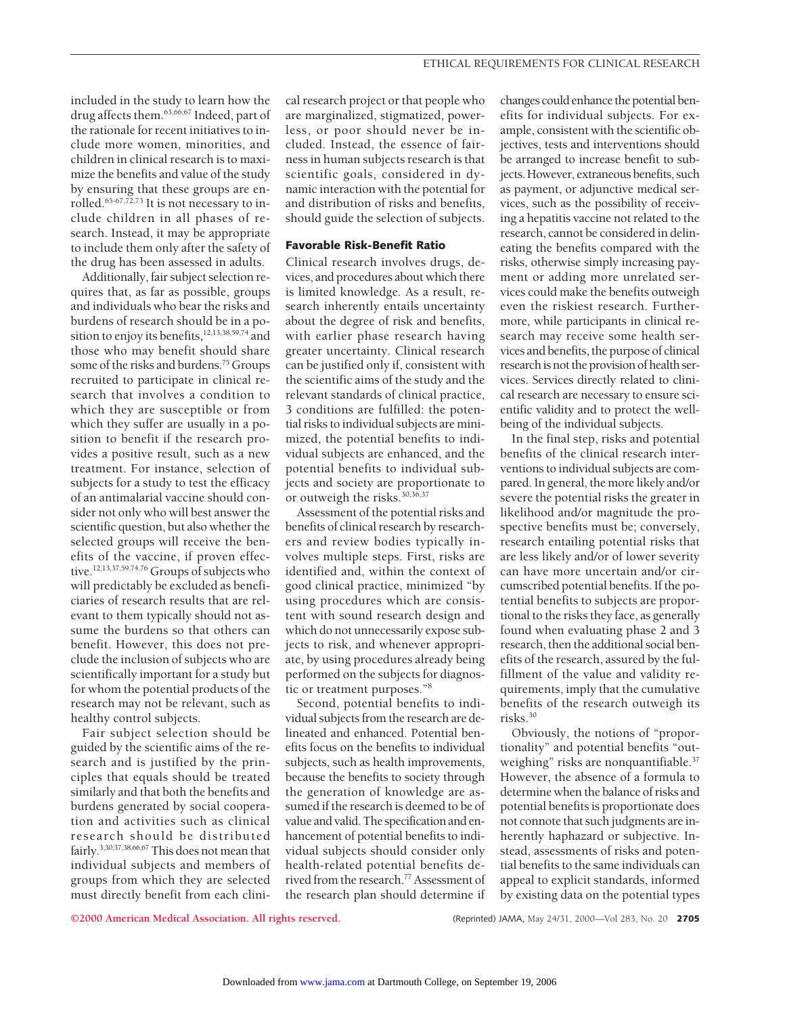included in the study to learn how the drug affects them.<sup>63,66,67</sup> Indeed, part of the rationale for recent initiatives to include more women, minorities, and children in clinical research is to maximize the benefits and value of the study by ensuring that these groups are enrolled.65-67,72,73 It is not necessary to include children in all phases of research. Instead, it may be appropriate to include them only after the safety of the drug has been assessed in adults.

Additionally, fair subject selection requires that, as far as possible, groups and individuals who bear the risks and burdens of research should be in a position to enjoy its benefits,<sup>12,13,38,59,74</sup> and those who may benefit should share some of the risks and burdens.<sup>75</sup> Groups recruited to participate in clinical research that involves a condition to which they are susceptible or from which they suffer are usually in a position to benefit if the research provides a positive result, such as a new treatment. For instance, selection of subjects for a study to test the efficacy of an antimalarial vaccine should consider not only who will best answer the scientific question, but also whether the selected groups will receive the benefits of the vaccine, if proven effective.12,13,37,59,74,76 Groups of subjects who will predictably be excluded as beneficiaries of research results that are relevant to them typically should not assume the burdens so that others can benefit. However, this does not preclude the inclusion of subjects who are scientifically important for a study but for whom the potential products of the research may not be relevant, such as healthy control subjects.

Fair subject selection should be guided by the scientific aims of the research and is justified by the principles that equals should be treated similarly and that both the benefits and burdens generated by social cooperation and activities such as clinical research should be distributed fairly.<sup>3,30,37,38,66,67</sup> This does not mean that individual subjects and members of groups from which they are selected must directly benefit from each clinical research project or that people who are marginalized, stigmatized, powerless, or poor should never be included. Instead, the essence of fairness in human subjects research is that scientific goals, considered in dynamic interaction with the potential for and distribution of risks and benefits, should guide the selection of subjects.

#### **Favorable Risk-Benefit Ratio**

Clinical research involves drugs, devices, and procedures about which there is limited knowledge. As a result, research inherently entails uncertainty about the degree of risk and benefits, with earlier phase research having greater uncertainty. Clinical research can be justified only if, consistent with the scientific aims of the study and the relevant standards of clinical practice, 3 conditions are fulfilled: the potential risks to individual subjects are minimized, the potential benefits to individual subjects are enhanced, and the potential benefits to individual subjects and society are proportionate to or outweigh the risks.30,36,37

Assessment of the potential risks and benefits of clinical research by researchers and review bodies typically involves multiple steps. First, risks are identified and, within the context of good clinical practice, minimized "by using procedures which are consistent with sound research design and which do not unnecessarily expose subjects to risk, and whenever appropriate, by using procedures already being performed on the subjects for diagnostic or treatment purposes."8

Second, potential benefits to individual subjects from the research are delineated and enhanced. Potential benefits focus on the benefits to individual subjects, such as health improvements, because the benefits to society through the generation of knowledge are assumed if the research is deemed to be of value and valid. The specification and enhancement of potential benefits to individual subjects should consider only health-related potential benefits derived from the research.<sup>77</sup> Assessment of the research plan should determine if

changes could enhance the potential benefits for individual subjects. For example, consistent with the scientific objectives, tests and interventions should be arranged to increase benefit to subjects. However, extraneous benefits, such as payment, or adjunctive medical services, such as the possibility of receiving a hepatitis vaccine not related to the research, cannot be considered in delineating the benefits compared with the risks, otherwise simply increasing payment or adding more unrelated services could make the benefits outweigh even the riskiest research. Furthermore, while participants in clinical research may receive some health services and benefits, the purpose of clinical research is not the provision of health services. Services directly related to clinical research are necessary to ensure scientific validity and to protect the wellbeing of the individual subjects.

In the final step, risks and potential benefits of the clinical research interventions to individual subjects are compared. In general, the more likely and/or severe the potential risks the greater in likelihood and/or magnitude the prospective benefits must be; conversely, research entailing potential risks that are less likely and/or of lower severity can have more uncertain and/or circumscribed potential benefits. If the potential benefits to subjects are proportional to the risks they face, as generally found when evaluating phase 2 and 3 research, then the additional social benefits of the research, assured by the fulfillment of the value and validity requirements, imply that the cumulative benefits of the research outweigh its risks.30

Obviously, the notions of "proportionality" and potential benefits "outweighing" risks are nonquantifiable.<sup>37</sup> However, the absence of a formula to determine when the balance of risks and potential benefits is proportionate does not connote that such judgments are inherently haphazard or subjective. Instead, assessments of risks and potential benefits to the same individuals can appeal to explicit standards, informed by existing data on the potential types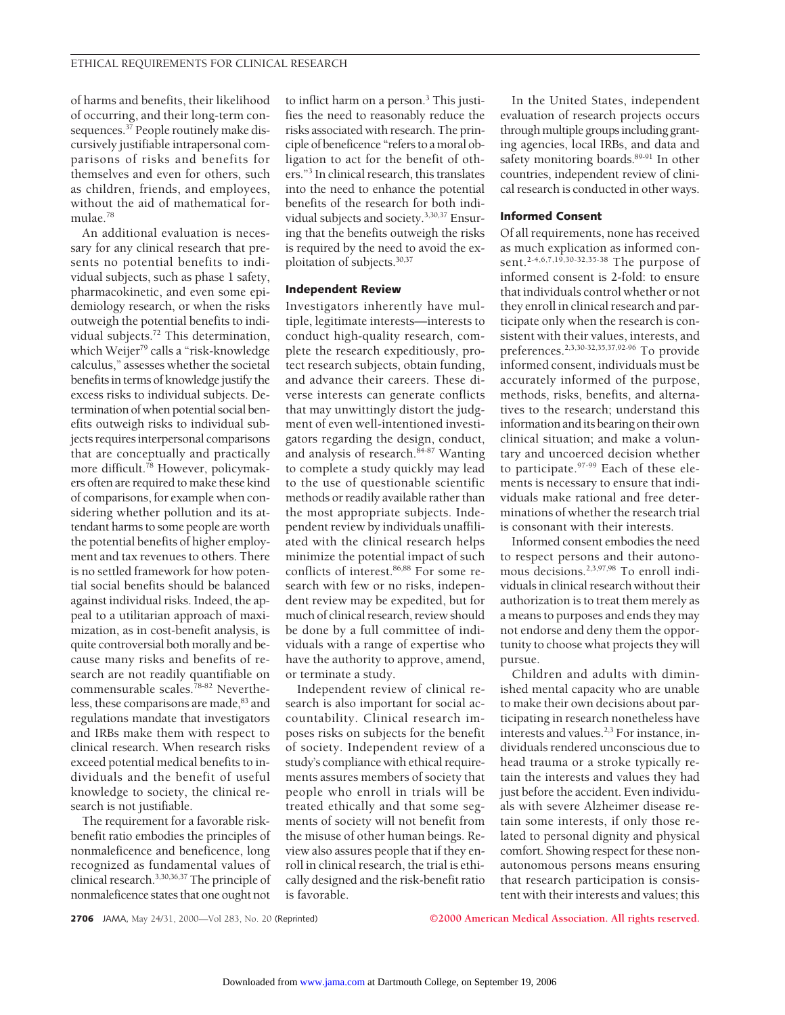of harms and benefits, their likelihood of occurring, and their long-term consequences.37 People routinely make discursively justifiable intrapersonal comparisons of risks and benefits for themselves and even for others, such as children, friends, and employees, without the aid of mathematical formulae.78

An additional evaluation is necessary for any clinical research that presents no potential benefits to individual subjects, such as phase 1 safety, pharmacokinetic, and even some epidemiology research, or when the risks outweigh the potential benefits to individual subjects.<sup>72</sup> This determination, which Weijer<sup>79</sup> calls a "risk-knowledge" calculus," assesses whether the societal benefits in terms of knowledge justify the excess risks to individual subjects. Determination of when potential social benefits outweigh risks to individual subjects requires interpersonal comparisons that are conceptually and practically more difficult.78 However, policymakers often are required to make these kind of comparisons, for example when considering whether pollution and its attendant harms to some people are worth the potential benefits of higher employment and tax revenues to others. There is no settled framework for how potential social benefits should be balanced against individual risks. Indeed, the appeal to a utilitarian approach of maximization, as in cost-benefit analysis, is quite controversial both morally and because many risks and benefits of research are not readily quantifiable on commensurable scales.78-82 Nevertheless, these comparisons are made,<sup>83</sup> and regulations mandate that investigators and IRBs make them with respect to clinical research. When research risks exceed potential medical benefits to individuals and the benefit of useful knowledge to society, the clinical research is not justifiable.

The requirement for a favorable riskbenefit ratio embodies the principles of nonmaleficence and beneficence, long recognized as fundamental values of clinical research.3,30,36,37 The principle of nonmaleficence states that one ought not to inflict harm on a person.<sup>3</sup> This justifies the need to reasonably reduce the risks associated with research. The principle of beneficence "refers to a moral obligation to act for the benefit of others."3 In clinical research, this translates into the need to enhance the potential benefits of the research for both individual subjects and society.<sup>3,30,37</sup> Ensuring that the benefits outweigh the risks is required by the need to avoid the exploitation of subjects.30,37

#### **Independent Review**

Investigators inherently have multiple, legitimate interests—interests to conduct high-quality research, complete the research expeditiously, protect research subjects, obtain funding, and advance their careers. These diverse interests can generate conflicts that may unwittingly distort the judgment of even well-intentioned investigators regarding the design, conduct, and analysis of research.<sup>84-87</sup> Wanting to complete a study quickly may lead to the use of questionable scientific methods or readily available rather than the most appropriate subjects. Independent review by individuals unaffiliated with the clinical research helps minimize the potential impact of such conflicts of interest.<sup>86,88</sup> For some research with few or no risks, independent review may be expedited, but for much of clinical research, review should be done by a full committee of individuals with a range of expertise who have the authority to approve, amend, or terminate a study.

Independent review of clinical research is also important for social accountability. Clinical research imposes risks on subjects for the benefit of society. Independent review of a study's compliance with ethical requirements assures members of society that people who enroll in trials will be treated ethically and that some segments of society will not benefit from the misuse of other human beings. Review also assures people that if they enroll in clinical research, the trial is ethically designed and the risk-benefit ratio is favorable.

In the United States, independent evaluation of research projects occurs through multiple groups including granting agencies, local IRBs, and data and safety monitoring boards.<sup>89-91</sup> In other countries, independent review of clinical research is conducted in other ways.

#### **Informed Consent**

Of all requirements, none has received as much explication as informed consent.<sup>2-4,6,7,19,30-32,35-38</sup> The purpose of informed consent is 2-fold: to ensure that individuals control whether or not they enroll in clinical research and participate only when the research is consistent with their values, interests, and preferences.2,3,30-32,35,37,92-96 To provide informed consent, individuals must be accurately informed of the purpose, methods, risks, benefits, and alternatives to the research; understand this information and its bearing on their own clinical situation; and make a voluntary and uncoerced decision whether to participate.97-99 Each of these elements is necessary to ensure that individuals make rational and free determinations of whether the research trial is consonant with their interests.

Informed consent embodies the need to respect persons and their autonomous decisions.2,3,97,98 To enroll individuals in clinical research without their authorization is to treat them merely as a means to purposes and ends they may not endorse and deny them the opportunity to choose what projects they will pursue.

Children and adults with diminished mental capacity who are unable to make their own decisions about participating in research nonetheless have interests and values.<sup>2,3</sup> For instance, individuals rendered unconscious due to head trauma or a stroke typically retain the interests and values they had just before the accident. Even individuals with severe Alzheimer disease retain some interests, if only those related to personal dignity and physical comfort. Showing respect for these nonautonomous persons means ensuring that research participation is consistent with their interests and values; this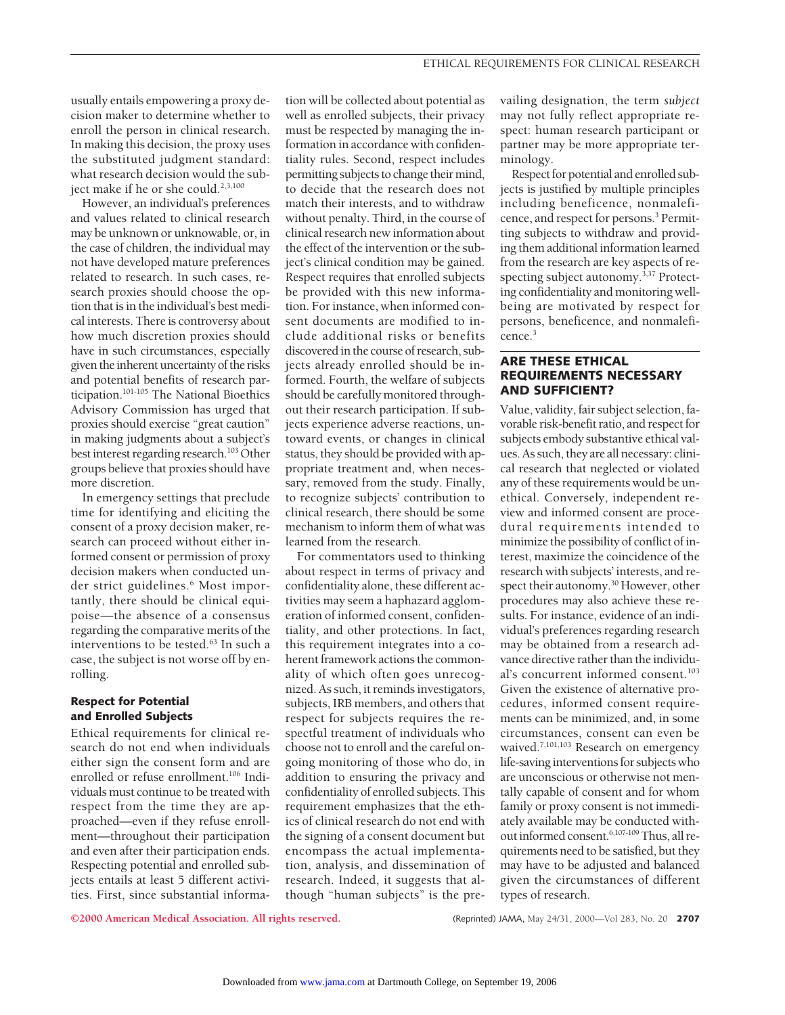usually entails empowering a proxy decision maker to determine whether to enroll the person in clinical research. In making this decision, the proxy uses the substituted judgment standard: what research decision would the subject make if he or she could.<sup>2,3,100</sup>

However, an individual's preferences and values related to clinical research may be unknown or unknowable, or, in the case of children, the individual may not have developed mature preferences related to research. In such cases, research proxies should choose the option that is in the individual's best medical interests. There is controversy about how much discretion proxies should have in such circumstances, especially given the inherent uncertainty of the risks and potential benefits of research participation.101-105 The National Bioethics Advisory Commission has urged that proxies should exercise "great caution" in making judgments about a subject's best interest regarding research.<sup>103</sup> Other groups believe that proxies should have more discretion.

In emergency settings that preclude time for identifying and eliciting the consent of a proxy decision maker, research can proceed without either informed consent or permission of proxy decision makers when conducted under strict guidelines.<sup>6</sup> Most importantly, there should be clinical equipoise—the absence of a consensus regarding the comparative merits of the interventions to be tested.<sup>63</sup> In such a case, the subject is not worse off by enrolling.

#### **Respect for Potential and Enrolled Subjects**

Ethical requirements for clinical research do not end when individuals either sign the consent form and are enrolled or refuse enrollment.<sup>106</sup> Individuals must continue to be treated with respect from the time they are approached—even if they refuse enrollment—throughout their participation and even after their participation ends. Respecting potential and enrolled subjects entails at least 5 different activities. First, since substantial information will be collected about potential as well as enrolled subjects, their privacy must be respected by managing the information in accordance with confidentiality rules. Second, respect includes permitting subjects to change their mind, to decide that the research does not match their interests, and to withdraw without penalty. Third, in the course of clinical research new information about the effect of the intervention or the subject's clinical condition may be gained. Respect requires that enrolled subjects be provided with this new information. For instance, when informed consent documents are modified to include additional risks or benefits discovered in the course of research, subjects already enrolled should be informed. Fourth, the welfare of subjects should be carefully monitored throughout their research participation. If subjects experience adverse reactions, untoward events, or changes in clinical status, they should be provided with appropriate treatment and, when necessary, removed from the study. Finally, to recognize subjects' contribution to clinical research, there should be some mechanism to inform them of what was learned from the research.

For commentators used to thinking about respect in terms of privacy and confidentiality alone, these different activities may seem a haphazard agglomeration of informed consent, confidentiality, and other protections. In fact, this requirement integrates into a coherent framework actions the commonality of which often goes unrecognized. As such, it reminds investigators, subjects, IRB members, and others that respect for subjects requires the respectful treatment of individuals who choose not to enroll and the careful ongoing monitoring of those who do, in addition to ensuring the privacy and confidentiality of enrolled subjects. This requirement emphasizes that the ethics of clinical research do not end with the signing of a consent document but encompass the actual implementation, analysis, and dissemination of research. Indeed, it suggests that although "human subjects" is the pre-

vailing designation, the term *subject* may not fully reflect appropriate respect: human research participant or partner may be more appropriate terminology.

Respect for potential and enrolled subjects is justified by multiple principles including beneficence, nonmaleficence, and respect for persons.<sup>3</sup> Permitting subjects to withdraw and providing them additional information learned from the research are key aspects of respecting subject autonomy.<sup>3,37</sup> Protecting confidentiality and monitoring wellbeing are motivated by respect for persons, beneficence, and nonmaleficence.3

### **ARE THESE ETHICAL REQUIREMENTS NECESSARY AND SUFFICIENT?**

Value, validity, fair subject selection, favorable risk-benefit ratio, and respect for subjects embody substantive ethical values. As such, they are all necessary: clinical research that neglected or violated any of these requirements would be unethical. Conversely, independent review and informed consent are procedural requirements intended to minimize the possibility of conflict of interest, maximize the coincidence of the research with subjects' interests, and respect their autonomy.<sup>30</sup> However, other procedures may also achieve these results. For instance, evidence of an individual's preferences regarding research may be obtained from a research advance directive rather than the individual's concurrent informed consent.<sup>103</sup> Given the existence of alternative procedures, informed consent requirements can be minimized, and, in some circumstances, consent can even be waived.<sup>7,101,103</sup> Research on emergency life-saving interventions for subjects who are unconscious or otherwise not mentally capable of consent and for whom family or proxy consent is not immediately available may be conducted without informed consent.<sup>6,107-109</sup> Thus, all requirements need to be satisfied, but they may have to be adjusted and balanced given the circumstances of different types of research.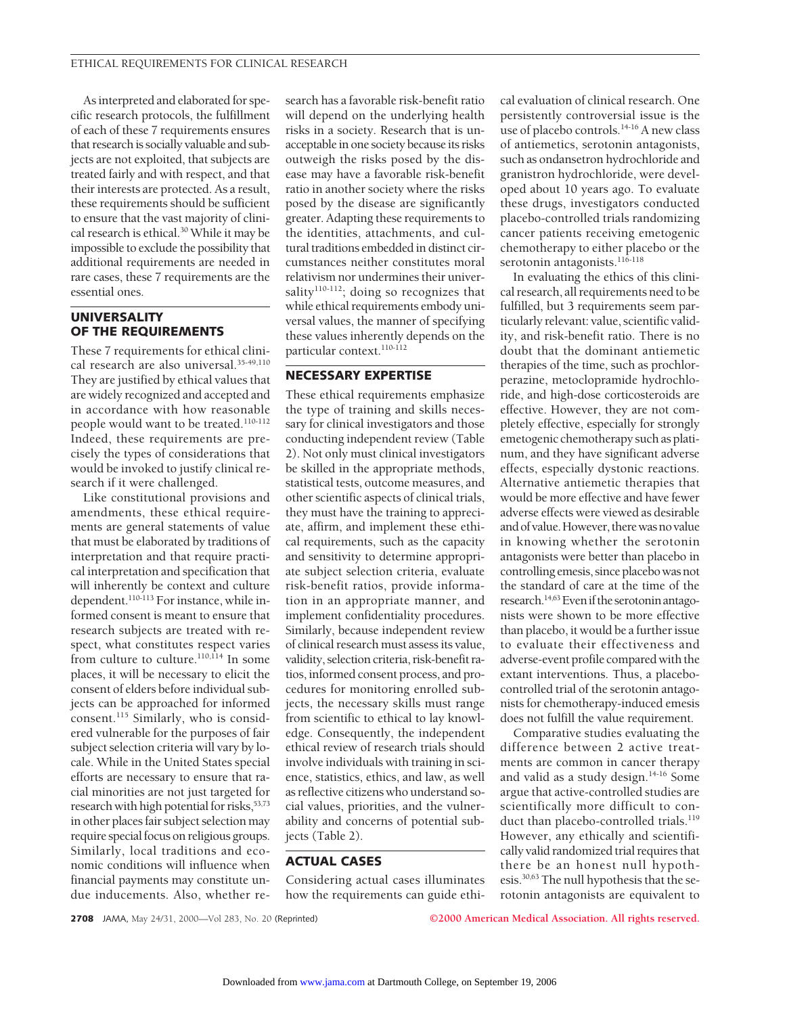As interpreted and elaborated for specific research protocols, the fulfillment of each of these 7 requirements ensures that research is socially valuable and subjects are not exploited, that subjects are treated fairly and with respect, and that their interests are protected. As a result, these requirements should be sufficient to ensure that the vast majority of clinical research is ethical.30 While it may be impossible to exclude the possibility that additional requirements are needed in rare cases, these 7 requirements are the essential ones.

# **UNIVERSALITY OF THE REQUIREMENTS**

These 7 requirements for ethical clinical research are also universal.<sup>35-49,110</sup> They are justified by ethical values that are widely recognized and accepted and in accordance with how reasonable people would want to be treated.<sup>110-112</sup> Indeed, these requirements are precisely the types of considerations that would be invoked to justify clinical research if it were challenged.

Like constitutional provisions and amendments, these ethical requirements are general statements of value that must be elaborated by traditions of interpretation and that require practical interpretation and specification that will inherently be context and culture dependent.<sup>110-113</sup> For instance, while informed consent is meant to ensure that research subjects are treated with respect, what constitutes respect varies from culture to culture.110,114 In some places, it will be necessary to elicit the consent of elders before individual subjects can be approached for informed consent.<sup>115</sup> Similarly, who is considered vulnerable for the purposes of fair subject selection criteria will vary by locale. While in the United States special efforts are necessary to ensure that racial minorities are not just targeted for research with high potential for risks, $53,73$ in other places fair subject selection may require special focus on religious groups. Similarly, local traditions and economic conditions will influence when financial payments may constitute undue inducements. Also, whether research has a favorable risk-benefit ratio will depend on the underlying health risks in a society. Research that is unacceptable in one society because its risks outweigh the risks posed by the disease may have a favorable risk-benefit ratio in another society where the risks posed by the disease are significantly greater. Adapting these requirements to the identities, attachments, and cultural traditions embedded in distinct circumstances neither constitutes moral relativism nor undermines their universality<sup>110-112</sup>; doing so recognizes that while ethical requirements embody universal values, the manner of specifying these values inherently depends on the particular context.<sup>110-112</sup>

## **NECESSARY EXPERTISE**

These ethical requirements emphasize the type of training and skills necessary for clinical investigators and those conducting independent review (Table 2). Not only must clinical investigators be skilled in the appropriate methods, statistical tests, outcome measures, and other scientific aspects of clinical trials, they must have the training to appreciate, affirm, and implement these ethical requirements, such as the capacity and sensitivity to determine appropriate subject selection criteria, evaluate risk-benefit ratios, provide information in an appropriate manner, and implement confidentiality procedures. Similarly, because independent review of clinical research must assess its value, validity, selection criteria, risk-benefit ratios, informed consent process, and procedures for monitoring enrolled subjects, the necessary skills must range from scientific to ethical to lay knowledge. Consequently, the independent ethical review of research trials should involve individuals with training in science, statistics, ethics, and law, as well as reflective citizens who understand social values, priorities, and the vulnerability and concerns of potential subjects (Table 2).

# **ACTUAL CASES**

Considering actual cases illuminates how the requirements can guide ethical evaluation of clinical research. One persistently controversial issue is the use of placebo controls.<sup>14-16</sup> A new class of antiemetics, serotonin antagonists, such as ondansetron hydrochloride and granistron hydrochloride, were developed about 10 years ago. To evaluate these drugs, investigators conducted placebo-controlled trials randomizing cancer patients receiving emetogenic chemotherapy to either placebo or the serotonin antagonists.<sup>116-118</sup>

In evaluating the ethics of this clinical research, all requirements need to be fulfilled, but 3 requirements seem particularly relevant: value, scientific validity, and risk-benefit ratio. There is no doubt that the dominant antiemetic therapies of the time, such as prochlorperazine, metoclopramide hydrochloride, and high-dose corticosteroids are effective. However, they are not completely effective, especially for strongly emetogenic chemotherapy such as platinum, and they have significant adverse effects, especially dystonic reactions. Alternative antiemetic therapies that would be more effective and have fewer adverse effects were viewed as desirable and of value. However, there was no value in knowing whether the serotonin antagonists were better than placebo in controlling emesis, since placebo was not the standard of care at the time of the research.<sup>14,63</sup> Even if the serotonin antagonists were shown to be more effective than placebo, it would be a further issue to evaluate their effectiveness and adverse-event profile compared with the extant interventions. Thus, a placebocontrolled trial of the serotonin antagonists for chemotherapy-induced emesis does not fulfill the value requirement.

Comparative studies evaluating the difference between 2 active treatments are common in cancer therapy and valid as a study design.14-16 Some argue that active-controlled studies are scientifically more difficult to conduct than placebo-controlled trials.<sup>119</sup> However, any ethically and scientifically valid randomized trial requires that there be an honest null hypothesis.30,63 The null hypothesis that the serotonin antagonists are equivalent to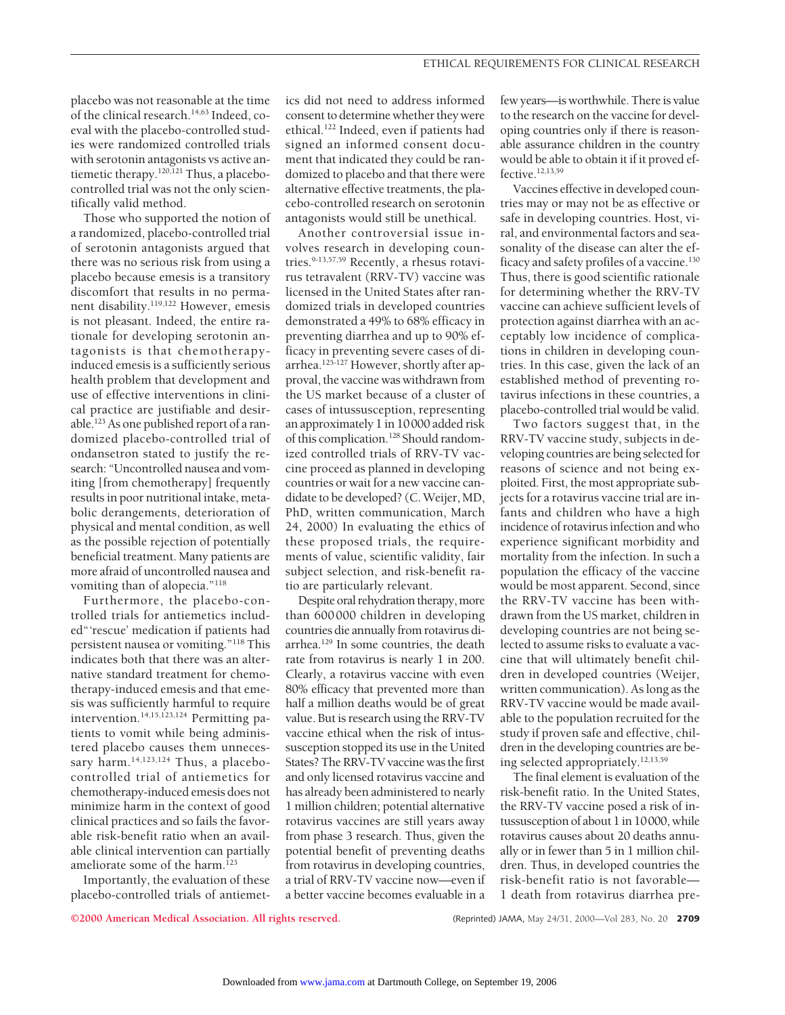placebo was not reasonable at the time of the clinical research.<sup>14,63</sup> Indeed, coeval with the placebo-controlled studies were randomized controlled trials with serotonin antagonists vs active antiemetic therapy.120,121 Thus, a placebocontrolled trial was not the only scientifically valid method.

Those who supported the notion of a randomized, placebo-controlled trial of serotonin antagonists argued that there was no serious risk from using a placebo because emesis is a transitory discomfort that results in no permanent disability.119,122 However, emesis is not pleasant. Indeed, the entire rationale for developing serotonin antagonists is that chemotherapyinduced emesis is a sufficiently serious health problem that development and use of effective interventions in clinical practice are justifiable and desirable.123As one published report of a randomized placebo-controlled trial of ondansetron stated to justify the research: "Uncontrolled nausea and vomiting [from chemotherapy] frequently results in poor nutritional intake, metabolic derangements, deterioration of physical and mental condition, as well as the possible rejection of potentially beneficial treatment. Many patients are more afraid of uncontrolled nausea and vomiting than of alopecia."118

Furthermore, the placebo-controlled trials for antiemetics included"'rescue' medication if patients had persistent nausea or vomiting."118 This indicates both that there was an alternative standard treatment for chemotherapy-induced emesis and that emesis was sufficiently harmful to require intervention.14,15,123,124 Permitting patients to vomit while being administered placebo causes them unnecessary harm.<sup>14,123,124</sup> Thus, a placebocontrolled trial of antiemetics for chemotherapy-induced emesis does not minimize harm in the context of good clinical practices and so fails the favorable risk-benefit ratio when an available clinical intervention can partially ameliorate some of the harm.<sup>123</sup>

Importantly, the evaluation of these placebo-controlled trials of antiemetics did not need to address informed consent to determine whether they were ethical.122 Indeed, even if patients had signed an informed consent document that indicated they could be randomized to placebo and that there were alternative effective treatments, the placebo-controlled research on serotonin antagonists would still be unethical.

Another controversial issue involves research in developing countries.<sup>9-13,57,59</sup> Recently, a rhesus rotavirus tetravalent (RRV-TV) vaccine was licensed in the United States after randomized trials in developed countries demonstrated a 49% to 68% efficacy in preventing diarrhea and up to 90% efficacy in preventing severe cases of diarrhea.125-127 However, shortly after approval, the vaccine was withdrawn from the US market because of a cluster of cases of intussusception, representing an approximately 1 in 10000 added risk of this complication.128 Should randomized controlled trials of RRV-TV vaccine proceed as planned in developing countries or wait for a new vaccine candidate to be developed? (C. Weijer, MD, PhD, written communication, March 24, 2000) In evaluating the ethics of these proposed trials, the requirements of value, scientific validity, fair subject selection, and risk-benefit ratio are particularly relevant.

Despite oral rehydration therapy, more than 600000 children in developing countries die annually from rotavirus diarrhea.129 In some countries, the death rate from rotavirus is nearly 1 in 200. Clearly, a rotavirus vaccine with even 80% efficacy that prevented more than half a million deaths would be of great value. But is research using the RRV-TV vaccine ethical when the risk of intussusception stopped its use in the United States? The RRV-TV vaccine was the first and only licensed rotavirus vaccine and has already been administered to nearly 1 million children; potential alternative rotavirus vaccines are still years away from phase 3 research. Thus, given the potential benefit of preventing deaths from rotavirus in developing countries, a trial of RRV-TV vaccine now—even if a better vaccine becomes evaluable in a

few years—is worthwhile. There is value to the research on the vaccine for developing countries only if there is reasonable assurance children in the country would be able to obtain it if it proved ef $f$ ective.<sup>12,13,59</sup>

Vaccines effective in developed countries may or may not be as effective or safe in developing countries. Host, viral, and environmental factors and seasonality of the disease can alter the efficacy and safety profiles of a vaccine.<sup>130</sup> Thus, there is good scientific rationale for determining whether the RRV-TV vaccine can achieve sufficient levels of protection against diarrhea with an acceptably low incidence of complications in children in developing countries. In this case, given the lack of an established method of preventing rotavirus infections in these countries, a placebo-controlled trial would be valid.

Two factors suggest that, in the RRV-TV vaccine study, subjects in developing countries are being selected for reasons of science and not being exploited. First, the most appropriate subjects for a rotavirus vaccine trial are infants and children who have a high incidence of rotavirus infection and who experience significant morbidity and mortality from the infection. In such a population the efficacy of the vaccine would be most apparent. Second, since the RRV-TV vaccine has been withdrawn from the US market, children in developing countries are not being selected to assume risks to evaluate a vaccine that will ultimately benefit children in developed countries (Weijer, written communication). As long as the RRV-TV vaccine would be made available to the population recruited for the study if proven safe and effective, children in the developing countries are being selected appropriately.12,13,59

The final element is evaluation of the risk-benefit ratio. In the United States, the RRV-TV vaccine posed a risk of intussusception of about 1 in 10000, while rotavirus causes about 20 deaths annually or in fewer than 5 in 1 million children. Thus, in developed countries the risk-benefit ratio is not favorable— 1 death from rotavirus diarrhea pre-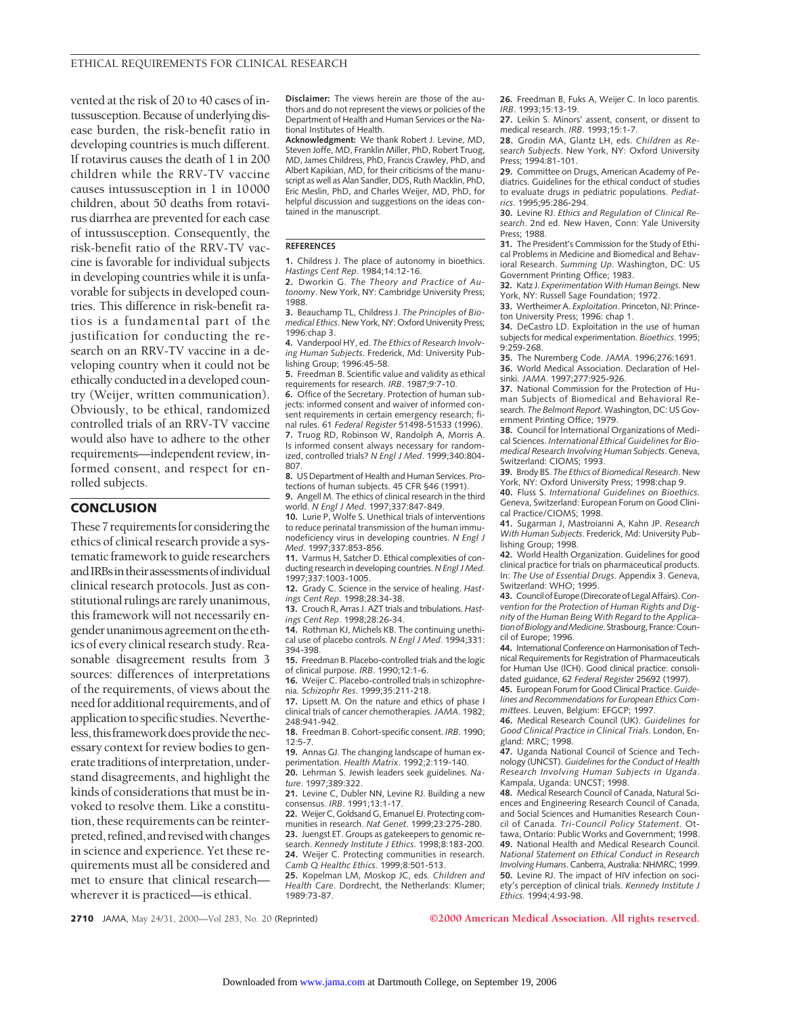vented at the risk of 20 to 40 cases of intussusception. Because of underlying disease burden, the risk-benefit ratio in developing countries is much different. If rotavirus causes the death of 1 in 200 children while the RRV-TV vaccine causes intussusception in 1 in 10000 children, about 50 deaths from rotavirus diarrhea are prevented for each case of intussusception. Consequently, the risk-benefit ratio of the RRV-TV vaccine is favorable for individual subjects in developing countries while it is unfavorable for subjects in developed countries. This difference in risk-benefit ratios is a fundamental part of the justification for conducting the research on an RRV-TV vaccine in a developing country when it could not be ethically conducted in a developed country (Weijer, written communication). Obviously, to be ethical, randomized controlled trials of an RRV-TV vaccine would also have to adhere to the other requirements—independent review, informed consent, and respect for enrolled subjects.

## **CONCLUSION**

These 7 requirements for considering the ethics of clinical research provide a systematic framework to guide researchers and IRBs in their assessments of individual clinical research protocols. Just as constitutional rulings are rarely unanimous, this framework will not necessarily engender unanimous agreement on the ethics of every clinical research study. Reasonable disagreement results from 3 sources: differences of interpretations of the requirements, of views about the need for additional requirements, and of application to specific studies. Nevertheless, this framework does provide the necessary context for review bodies to generate traditions of interpretation, understand disagreements, and highlight the kinds of considerations that must be invoked to resolve them. Like a constitution, these requirements can be reinterpreted, refined, and revised with changes in science and experience. Yet these requirements must all be considered and met to ensure that clinical research wherever it is practiced—is ethical.

**Disclaimer:** The views herein are those of the authors and do not represent the views or policies of the Department of Health and Human Services or the National Institutes of Health.

**Acknowledgment:** We thank Robert J. Levine, MD, Steven Joffe, MD, Franklin Miller, PhD, Robert Truog, MD, James Childress, PhD, Francis Crawley, PhD, and Albert Kapikian, MD, for their criticisms of the manuscript as well as Alan Sandler, DDS, Ruth Macklin, PhD, Eric Meslin, PhD, and Charles Weijer, MD, PhD, for helpful discussion and suggestions on the ideas contained in the manuscript.

#### **REFERENCES**

**1.** Childress J. The place of autonomy in bioethics. *Hastings Cent Rep*. 1984;14:12-16.

**2.** Dworkin G. *The Theory and Practice of Autonomy*. New York, NY: Cambridge University Press; 1988.

**3.** Beauchamp TL, Childress J. *The Principles of Biomedical Ethics*. New York, NY: Oxford University Press; 1996:chap 3.

**4.** Vanderpool HY, ed. *The Ethics of Research Involving Human Subjects*. Frederick, Md: University Publishing Group; 1996:45-58.

**5.** Freedman B. Scientific value and validity as ethical requirements for research. *IRB*. 1987;9:7-10.

**6.** Office of the Secretary. Protection of human subjects: informed consent and waiver of informed consent requirements in certain emergency research; final rules. 61 *Federal Register* 51498-51533 (1996). **7.** Truog RD, Robinson W, Randolph A, Morris A. Is informed consent always necessary for random-

ized, controlled trials? *N Engl J Med*. 1999;340:804-807. **8.** US Department of Health and Human Services. Pro-

tections of human subjects. 45 CFR §46 (1991). **9.** Angell M. The ethics of clinical research in the third

world. *N Engl J Med*. 1997;337:847-849.

**10.** Lurie P, Wolfe S. Unethical trials of interventions to reduce perinatal transmission of the human immunodeficiency virus in developing countries. *N Engl J Med*. 1997;337:853-856.

**11.** Varmus H, Satcher D. Ethical complexities of conducting research in developing countries. *N Engl J Med*. 1997;337:1003-1005.

**12.** Grady C. Science in the service of healing. *Hastings Cent Rep*. 1998;28:34-38.

**13.** Crouch R, Arras J. AZT trials and tribulations. *Hastings Cent Rep*. 1998;28:26-34.

**14.** Rothman KJ, Michels KB. The continuing unethical use of placebo controls. *N Engl J Med*. 1994;331: 394-398.

**15.** Freedman B. Placebo-controlled trials and the logic of clinical purpose. *IRB*. 1990;12:1-6.

**16.** Weijer C. Placebo-controlled trials in schizophrenia. *Schizophr Res*. 1999;35:211-218.

**17.** Lipsett M. On the nature and ethics of phase I clinical trials of cancer chemotherapies. *JAMA*. 1982; 248:941-942.

**18.** Freedman B. Cohort-specific consent. *IRB*. 1990;  $12.5 - 7$ 

**19.** Annas GJ. The changing landscape of human experimentation. *Health Matrix*. 1992;2:119-140. **20.** Lehrman S. Jewish leaders seek guidelines. *Na-*

*ture*. 1997;389:322. **21.** Levine C, Dubler NN, Levine RJ. Building a new

consensus. *IRB*. 1991;13:1-17.

**22.** Weijer C, Goldsand G, Emanuel EJ. Protecting communities in research. *Nat Genet*. 1999;23:275-280. **23.** Juengst ET. Groups as gatekeepers to genomic research. *Kennedy Institute J Ethics*. 1998;8:183-200. **24.** Weijer C. Protecting communities in research. *Camb Q Healthc Ethics*. 1999;8:501-513.

**25.** Kopelman LM, Moskop JC, eds. *Children and Health Care*. Dordrecht, the Netherlands: Klumer; 1989:73-87.

**26.** Freedman B, Fuks A, Weijer C. In loco parentis. *IRB*. 1993;15:13-19.

**27.** Leikin S. Minors' assent, consent, or dissent to medical research. *IRB*. 1993;15:1-7.

**28.** Grodin MA, Glantz LH, eds. *Children as Research Subjects*. New York, NY: Oxford University Press; 1994:81-101.

**29.** Committee on Drugs, American Academy of Pediatrics. Guidelines for the ethical conduct of studies to evaluate drugs in pediatric populations. *Pediatrics*. 1995;95:286-294.

**30.** Levine RJ. *Ethics and Regulation of Clinical Research*. 2nd ed. New Haven, Conn: Yale University Press; 1988.

**31.** The President's Commission for the Study of Ethical Problems in Medicine and Biomedical and Behavioral Research. *Summing Up*. Washington, DC: US Government Printing Office; 1983.

**32.** Katz J. *Experimentation With Human Beings*. New York, NY: Russell Sage Foundation; 1972.

**33.** Wertheimer A. *Exploitation*. Princeton, NJ: Princeton University Press; 1996: chap 1.

**34.** DeCastro LD. Exploitation in the use of human subjects for medical experimentation. *Bioethics*. 1995; 9:259-268.

**35.** The Nuremberg Code. *JAMA*. 1996;276:1691. **36.** World Medical Association. Declaration of Helsinki. *JAMA*. 1997;277:925-926.

**37.** National Commission for the Protection of Human Subjects of Biomedical and Behavioral Research. *The Belmont Report*. Washington, DC: US Government Printing Office; 1979.

**38.** Council for International Organizations of Medical Sciences. *International Ethical Guidelines for Biomedical Research Involving Human Subjects*. Geneva, Switzerland: CIOMS; 1993.

**39.** Brody BS. *The Ethics of Biomedical Research*. New York, NY: Oxford University Press; 1998:chap 9.

**40.** Fluss S. *International Guidelines on Bioethics*. Geneva, Switzerland: European Forum on Good Clinical Practice/CIOMS; 1998.

**41.** Sugarman J, Mastroianni A, Kahn JP. *Research With Human Subjects*. Frederick, Md: University Publishing Group; 1998.

**42.** World Health Organization. Guidelines for good clinical practice for trials on pharmaceutical products. In: *The Use of Essential Drugs*. Appendix 3. Geneva, Switzerland: WHO; 1995.

**43.** CouncilofEurope(DirecorateofLegalAffairs).*Convention for the Protection of Human Rights and Dignity of the Human Being With Regard to the ApplicationofBiologyandMedicine*.Strasbourg,France:Council of Europe; 1996.

**44.** International Conference on Harmonisation of Technical Requirements for Registration of Pharmaceuticals for Human Use (ICH). Good clinical practice: consolidated guidance, 62 *Federal Register* 25692 (1997).

**45.** European Forum for Good Clinical Practice. *Guidelines and Recommendations for European Ethics Committees*. Leuven, Belgium: EFGCP; 1997.

**46.** Medical Research Council (UK). *Guidelines for Good Clinical Practice in Clinical Trials*. London, England: MRC; 1998.

**47.** Uganda National Council of Science and Technology (UNCST). *Guidelines for the Conduct of Health Research Involving Human Subjects in Uganda*. Kampala, Uganda: UNCST; 1998.

**48.** Medical Research Council of Canada, Natural Sciences and Engineering Research Council of Canada, and Social Sciences and Humanities Research Council of Canada. *Tri-Council Policy Statement*. Ottawa, Ontario: Public Works and Government; 1998. **49.** National Health and Medical Research Council. *National Statement on Ethical Conduct in Research Involving Humans*. Canberra, Australia: NHMRC; 1999. **50.** Levine RJ. The impact of HIV infection on society's perception of clinical trials. *Kennedy Institute J Ethics.* 1994;4:93-98.